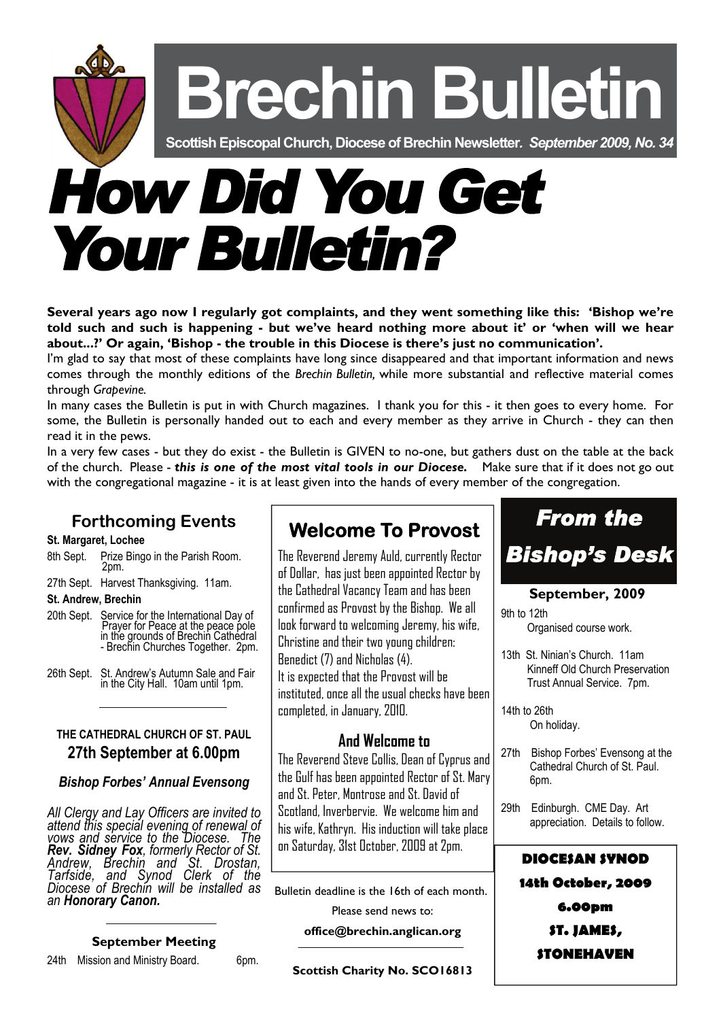**Brechin Bulletin Scottish Episcopal Church, Diocese of Brechin Newsletter***. September 2009, No. 34 How Did You Get Your Bulletin?* 

**Several years ago now I regularly got complaints, and they went something like this: 'Bishop we're told such and such is happening - but we've heard nothing more about it' or 'when will we hear about...?' Or again, 'Bishop - the trouble in this Diocese is there's just no communication'.** 

I'm glad to say that most of these complaints have long since disappeared and that important information and news comes through the monthly editions of the *Brechin Bulletin,* while more substantial and reflective material comes through *Grapevine.*

In many cases the Bulletin is put in with Church magazines. I thank you for this - it then goes to every home. For some, the Bulletin is personally handed out to each and every member as they arrive in Church - they can then read it in the pews.

In a very few cases - but they do exist - the Bulletin is GIVEN to no-one, but gathers dust on the table at the back of the church. Please - *this is one of the most vital tools in our Diocese.* Make sure that if it does not go out with the congregational magazine - it is at least given into the hands of every member of the congregation.

# **Forthcoming Events**

### **St. Margaret, Lochee**

- 8th Sept. Prize Bingo in the Parish Room. 2pm.
- 27th Sept. Harvest Thanksgiving. 11am.

### **St. Andrew, Brechin**

- 20th Sept. Service for the International Day of **Prayer for Peace at the peace pole**  in the grounds of Brechin Cathedral - Brechin Churches Together. 2pm.
- 26th Sept. St. Andrew's Autumn Sale and Fair in the City Hall. 10am until 1pm.

# **THE CATHEDRAL CHURCH OF ST. PAUL 27th September at 6.00pm**

# *Bishop Forbes' Annual Evensong*

*All Clergy and Lay Officers are invited to attend this special evening of renewal of vows and service to the Diocese. The Rev. Sidney Fox, formerly Rector of St. Andrew, Brechin and St. Drostan, Tarfside, and Synod Clerk of the Diocese of Brechin will be installed as an Honorary Canon.* 

### **September Meeting**

24th Mission and Ministry Board. 6pm.

# **Welcome To Provost**

The Reverend Jeremy Auld, currently Rector of Dollar, has just been appointed Rector by the Cathedral Vacancy Team and has been confirmed as Provost by the Bishop. We all look forward to welcoming Jeremy, his wife, Christine and their two young children: Benedict (7) and Nicholas (4). It is expected that the Provost will be instituted, once all the usual checks have been completed, in January, 2010.

# **And Welcome to**

The Reverend Steve Collis, Dean of Cyprus and the Gulf has been appointed Rector of St. Mary and St. Peter, Montrose and St. David of Scotland, Inverbervie. We welcome him and his wife, Kathryn. His induction will take place on Saturday, 31st October, 2009 at 2pm.

Bulletin deadline is the 16th of each month. Please send news to:

**office@brechin.anglican.org** 

**Scottish Charity No. SCO16813** 



### **September, 2009**

9th to 12th Organised course work.

13th St. Ninian's Church. 11am Kinneff Old Church Preservation Trust Annual Service. 7pm.

14th to 26th On holiday.

- 27th Bishop Forbes' Evensong at the Cathedral Church of St. Paul. 6pm.
- 29th Edinburgh. CME Day. Art appreciation. Details to follow.